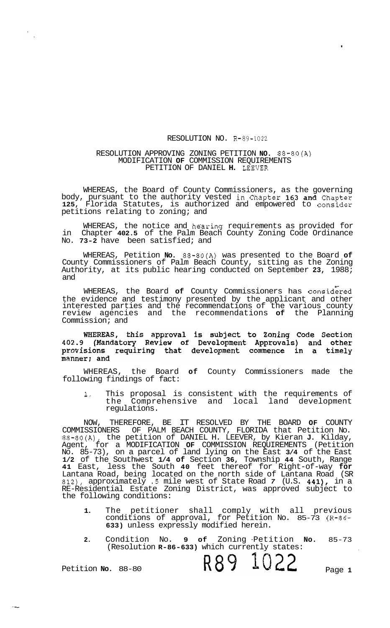## RESOLUTION NO. R-89-1022

## RESOLUTION APPROVING ZONING PETITION **NO.** 88-80(A) MODIFICATION **OF** COMMISSION REQUIREMENTS PETITION OF DANIEL **H.** LEEVER

WHEREAS, the Board of County Commissioners, as the governing body, pursuant to the authority vested in Chapter **163** and Chapter **125,** Florida Statutes, is authorized and empowered to consider petitions relating to zoning; and

WHEREAS, the notice and he'aring requirements as provided for in Chapter **402.5** of the Palm Beach County Zoning Code Ordinance No. **73-2** have been satisfied; and

WHEREAS, Petition **No.** 88-80(A) was presented to the Board **of**  County Commissioners of Palm Beach County, sitting as the Zoning Authority, at its public hearing conducted on September **23,** 1988; and

WHEREAS, the Board of County Commissioners has considered the evidence and testimony presented by the applicant and other interested parties and the recommendations of the various county review agencies and the recommendations **of** the Planning Commission; and

## WHEREAS, this approval is subject to Zoning Code Section<br>402.9 (Mandatory Review of Development Approvals) and other provisions requiring that development commence in a timely manner; and

WHEREAS, the Board **of** County Commissioners made the following findings of fact:

**1.** This proposal is consistent with the requirements of the Comprehensive and local land development regulations.

NOW, THEREFORE, BE IT RESOLVED BY THE BOARD **OF** COUNTY COMMISSIONERS OF PALM BEACH COUNTY, FLORIDA that Petition No. 88-80(A), the petition of DANIEL H. LEEVER, by Kieran **J.** Kilday, Agent, for a MODIFICATION **OF** COMMISSION REQUIREMENTS (Petition No. 85-73), on a parcel of land lying on the East **3/4** of the East **1/2** of the Southwest **1/4 of** Section **36,** Township **44** South, Range **41** East, less the South **40** feet thereof for Right-of-way **for**  Lantana Road, being located on the north side of Lantana Road (SR **812),** approximately *.5* mile west of State Road *7* (U.S. **441),** in a RE-Residential Estate Zoning District, was approved subject to the following conditions:

- **1.** The petitioner shall comply with all previous conditions of approval, for Petition No. 85-73 **(R-86- 633)** unless expressly modified herein.
- 2. Condition No. 9 of (Resolution **R-86-633)** which currently states: No. **9 of** Zoning -Petition **No.** 85-73

R89 1022

Petition **No.** 88-80

Page **1**